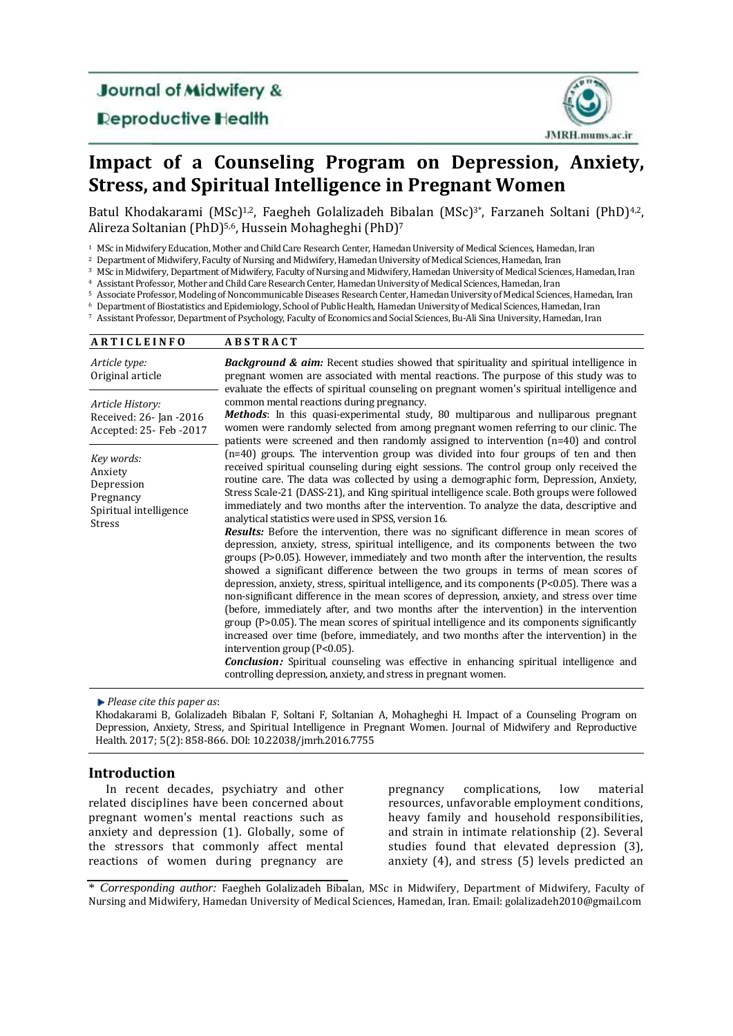**Journal of Midwifery &** 

**Deproductive Health** 



# **Impact of [a Counseling Program o](http://ajot.aota.org/article.aspx?articleid=1876606)n Depression, Anxiety, Stress, and Spiritual Intelligence in Pregnant Women**

Batul Khodakarami (MSc)<sup>1,2</sup>, Faegheh Golalizadeh Bibalan (MSc)<sup>3\*</sup>, Farzaneh Soltani (PhD)<sup>4,2</sup>, Alireza Soltanian (PhD)<sup>5,6</sup>, Hussein Mohagheghi (PhD)<sup>7</sup>

<sup>1</sup> MSc in Midwifery Education, Mother and Child Care Research Center, Hamedan University of Medical Sciences, Hamedan, Iran

<sup>2</sup> Department of Midwifery, Faculty of Nursing and Midwifery, Hamedan University of Medical Sciences, Hamedan, Iran

<sup>3</sup> MSc in Midwifery, Department of Midwifery, Faculty of Nursing and Midwifery, Hamedan University of Medical Sciences, Hamedan, Iran

<sup>4</sup> Assistant Professor, Mother and Child Care Research Center, Hamedan University of Medical Sciences, Hamedan, Iran

<sup>5</sup> Associate Professor, Modeling of Noncommunicable Diseases Research Center, Hamedan University of Medical Sciences, Hamedan, Iran

<sup>6</sup> Department of Biostatistics and Epidemiology, School of Public Health, Hamedan University of Medical Sciences, Hamedan, Iran <sup>7</sup> Assistant Professor, Department of Psychology, Faculty of Economics and Social Sciences, Bu-Ali Sina University, Hamedan, Iran

| <b>ARTICLEINFO</b>                                                                          | <b>ABSTRACT</b>                                                                                                                                                                                                                                                                                                                                                                                                                                                                                                                                                                                                                                                                                                                                                                                                                                                                                                                                                                                                                                                                                                                                                                                                                                                                                                                                                                                                                                                                                                                                                                               |
|---------------------------------------------------------------------------------------------|-----------------------------------------------------------------------------------------------------------------------------------------------------------------------------------------------------------------------------------------------------------------------------------------------------------------------------------------------------------------------------------------------------------------------------------------------------------------------------------------------------------------------------------------------------------------------------------------------------------------------------------------------------------------------------------------------------------------------------------------------------------------------------------------------------------------------------------------------------------------------------------------------------------------------------------------------------------------------------------------------------------------------------------------------------------------------------------------------------------------------------------------------------------------------------------------------------------------------------------------------------------------------------------------------------------------------------------------------------------------------------------------------------------------------------------------------------------------------------------------------------------------------------------------------------------------------------------------------|
| Article type:<br>Original article                                                           | Background & aim: Recent studies showed that spirituality and spiritual intelligence in<br>pregnant women are associated with mental reactions. The purpose of this study was to<br>evaluate the effects of spiritual counseling on pregnant women's spiritual intelligence and                                                                                                                                                                                                                                                                                                                                                                                                                                                                                                                                                                                                                                                                                                                                                                                                                                                                                                                                                                                                                                                                                                                                                                                                                                                                                                               |
| Article History:<br>Received: 26- Jan -2016<br>Accepted: 25- Feb - 2017                     | common mental reactions during pregnancy.<br>Methods: In this quasi-experimental study, 80 multiparous and nulliparous pregnant<br>women were randomly selected from among pregnant women referring to our clinic. The<br>patients were screened and then randomly assigned to intervention $(n=40)$ and control                                                                                                                                                                                                                                                                                                                                                                                                                                                                                                                                                                                                                                                                                                                                                                                                                                                                                                                                                                                                                                                                                                                                                                                                                                                                              |
| Key words:<br>Anxiety<br>Depression<br>Pregnancy<br>Spiritual intelligence<br><b>Stress</b> | $(n=40)$ groups. The intervention group was divided into four groups of ten and then<br>received spiritual counseling during eight sessions. The control group only received the<br>routine care. The data was collected by using a demographic form, Depression, Anxiety,<br>Stress Scale-21 (DASS-21), and King spiritual intelligence scale. Both groups were followed<br>immediately and two months after the intervention. To analyze the data, descriptive and<br>analytical statistics were used in SPSS, version 16.<br>Results: Before the intervention, there was no significant difference in mean scores of<br>depression, anxiety, stress, spiritual intelligence, and its components between the two<br>groups (P>0.05). However, immediately and two month after the intervention, the results<br>showed a significant difference between the two groups in terms of mean scores of<br>depression, anxiety, stress, spiritual intelligence, and its components (P<0.05). There was a<br>non-significant difference in the mean scores of depression, anxiety, and stress over time<br>(before, immediately after, and two months after the intervention) in the intervention<br>group $(P>0.05)$ . The mean scores of spiritual intelligence and its components significantly<br>increased over time (before, immediately, and two months after the intervention) in the<br>intervention group $(P<0.05)$ .<br><b>Conclusion:</b> Spiritual counseling was effective in enhancing spiritual intelligence and<br>controlling depression, anxiety, and stress in pregnant women. |

*Please cite this paper as*:

Khodakarami B, Golalizadeh Bibalan F, Soltani F, Soltanian A, Mohagheghi H. Impact of [a Counseling Program o](http://ajot.aota.org/article.aspx?articleid=1876606)n Depression, Anxiety, Stress, and Spiritual Intelligence in Pregnant Women. Journal of Midwifery and Reproductive Health. 2017; 5(2): 858-866. DOI: 10.22038/jmrh.2016.7755

## **Introduction**

In recent decades, psychiatry and other related disciplines have been concerned about pregnant women's mental reactions such as anxiety and depression (1). Globally, some of the stressors that commonly affect mental reactions of women during pregnancy are

pregnancy complications, low material resources, unfavorable employment conditions, heavy family and household responsibilities, and strain in intimate relationship (2). Several studies found that elevated depression (3), anxiety (4), and stress (5) levels predicted an

\* *Corresponding author:* Faegheh Golalizadeh Bibalan, MSc in Midwifery, Department of Midwifery, Faculty of Nursing and Midwifery, Hamedan University of Medical Sciences, Hamedan, Iran. Email: golalizadeh2010@gmail.com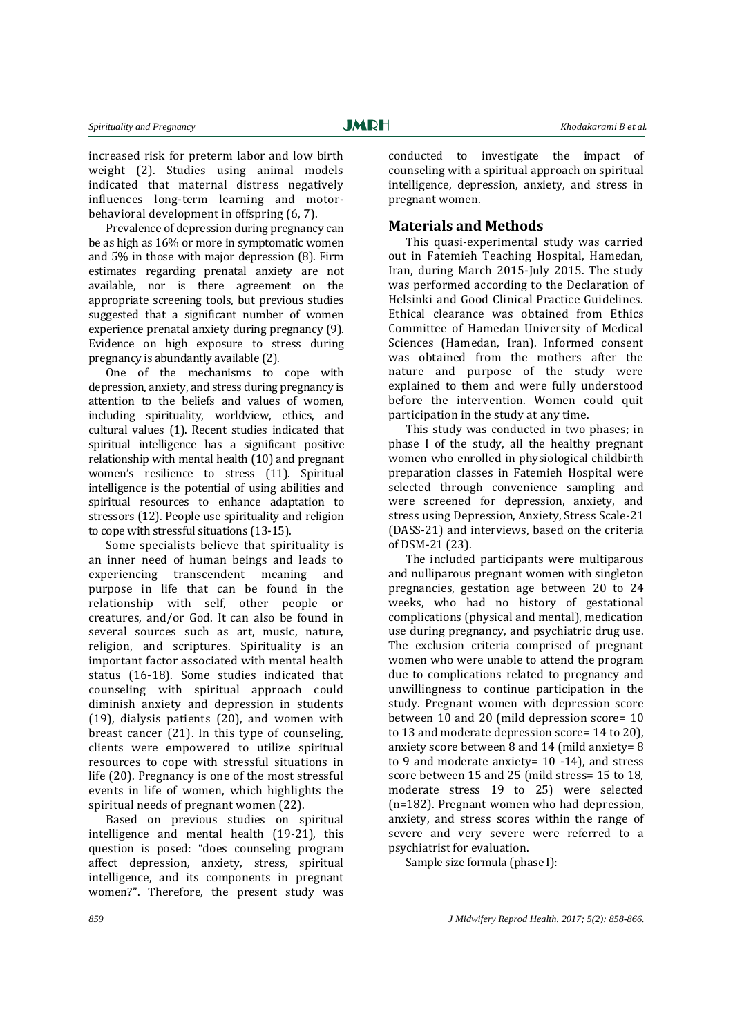increased risk for preterm labor and low birth weight (2). Studies using animal models indicated that maternal distress negatively influences long-term learning and motorbehavioral development in offspring (6, 7).

Prevalence of depression during pregnancy can be as high as 16% or more in symptomatic women and 5% in those with major depression (8). Firm estimates regarding prenatal anxiety are not available, nor is there agreement on the appropriate screening tools, but previous studies suggested that a significant number of women experience prenatal anxiety during pregnancy (9). Evidence on high exposure to stress during pregnancy is abundantly available (2).

One of the mechanisms to cope with depression, anxiety, and stress during pregnancy is attention to the beliefs and values of women, including spirituality, worldview, ethics, and cultural values (1). Recent studies indicated that spiritual intelligence has a significant positive relationship with mental health (10) and pregnant women's resilience to stress (11). Spiritual intelligence is the potential of using abilities and spiritual resources to enhance adaptation to stressors (12). People use spirituality and religion to cope with stressful situations (13-15).

Some specialists believe that spirituality is an inner need of human beings and leads to experiencing transcendent meaning and purpose in life that can be found in the relationship with self, other people or creatures, and/or God. It can also be found in several sources such as art, music, nature, religion, and scriptures. Spirituality is an important factor associated with mental health status (16-18). Some studies indicated that counseling with spiritual approach could diminish anxiety and depression in students (19), dialysis patients (20), and women with breast cancer (21). In this type of counseling, clients were empowered to utilize spiritual resources to cope with stressful situations in life (20). Pregnancy is one of the most stressful events in life of women, which highlights the spiritual needs of pregnant women (22).

Based on previous studies on spiritual intelligence and mental health (19-21), this question is posed: "does counseling program affect depression, anxiety, stress, spiritual intelligence, and its components in pregnant women?". Therefore, the present study was

conducted to investigate the impact of counseling with a spiritual approach on spiritual intelligence, depression, anxiety, and stress in pregnant women.

## **Materials and Methods**

This quasi-experimental study was carried out in Fatemieh Teaching Hospital, Hamedan, Iran, during March 2015-July 2015. The study was performed according to the Declaration of Helsinki and Good Clinical Practice Guidelines. Ethical clearance was obtained from Ethics Committee of Hamedan University of Medical Sciences (Hamedan, Iran). Informed consent was obtained from the mothers after the nature and purpose of the study were explained to them and were fully understood before the intervention. Women could quit participation in the study at any time.

This study was conducted in two phases; in phase I of the study, all the healthy pregnant women who enrolled in physiological childbirth preparation classes in Fatemieh Hospital were selected through convenience sampling and were screened for depression, anxiety, and stress using Depression, Anxiety, Stress Scale-21 (DASS-21) and interviews, based on the criteria of DSM-21 (23).

The included participants were multiparous and nulliparous pregnant women with singleton pregnancies, gestation age between 20 to 24 weeks, who had no history of gestational complications (physical and mental), medication use during pregnancy, and psychiatric drug use. The exclusion criteria comprised of pregnant women who were unable to attend the program due to complications related to pregnancy and unwillingness to continue participation in the study. Pregnant women with depression score between 10 and 20 (mild depression score= 10 to 13 and moderate depression score= 14 to 20), anxiety score between 8 and 14 (mild anxiety= 8 to 9 and moderate anxiety= 10 -14), and stress score between 15 and 25 (mild stress= 15 to 18, moderate stress 19 to 25) were selected (n=182). Pregnant women who had depression, anxiety, and stress scores within the range of severe and very severe were referred to a psychiatrist for evaluation.

Sample size formula (phase I):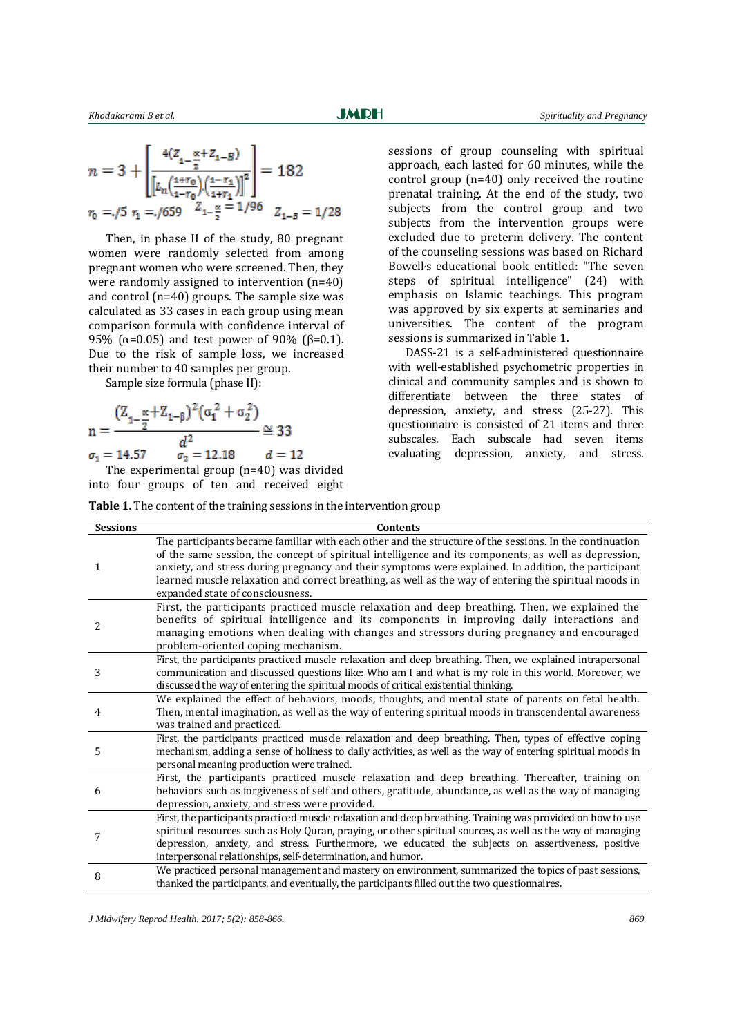$$
n = 3 + \left[ \frac{\frac{4(Z_{1-\frac{\alpha}{2}} + Z_{1-B})}{\left[ L_n \left( \frac{1+r_0}{1-r_0} \right) \left( \frac{1-r_1}{1+r_1} \right) \right]^2}} \right] = 182
$$
  

$$
r_0 = -\frac{75}{17} \cdot \frac{1}{17} = -\frac{7659}{17} \cdot \frac{Z_{1-\frac{\alpha}{2}}}{Z_{1-\frac{\alpha}{2}}} = \frac{1}{96} \cdot \frac{Z_{1-B}}{Z_{1-B}} = \frac{1}{28}
$$

Then, in phase II of the study, 80 pregnant women were randomly selected from among pregnant women who were screened. Then, they were randomly assigned to intervention (n=40) and control (n=40) groups. The sample size was calculated as 33 cases in each group using mean comparison formula with confidence interval of 95% ( $\alpha$ =0.05) and test power of 90% ( $\beta$ =0.1). Due to the risk of sample loss, we increased their number to 40 samples per group.

Sample size formula (phase II):

$$
n = \frac{(Z_{1-\frac{\alpha}{2}} + Z_{1-\beta})^2 (\sigma_1^2 + \sigma_2^2)}{d^2} \cong 33
$$
  

$$
\sigma_1 = 14.57 \qquad \sigma_2 = 12.18 \qquad d = 12
$$

The experimental group (n=40) was divided into four groups of ten and received eight

sessions of group counseling with spiritual approach, each lasted for 60 minutes, while the control group (n=40) only received the routine prenatal training. At the end of the study, two subjects from the control group and two subjects from the intervention groups were excluded due to preterm delivery. The content of the counseling sessions was based on Richard Bowell,s educational book entitled: "The seven steps of spiritual intelligence" (24) with emphasis on Islamic teachings. This program was approved by six experts at seminaries and universities. The content of the program sessions is summarized in Table 1.

DASS-21 is a self-administered questionnaire with well-established psychometric properties in clinical and community samples and is shown to differentiate between the three states of depression, anxiety, and stress (25-27). This questionnaire is consisted of 21 items and three subscales. Each subscale had seven items evaluating depression, anxiety, and stress.

|  | Table 1. The content of the training sessions in the intervention group |  |  |  |  |  |
|--|-------------------------------------------------------------------------|--|--|--|--|--|
|  |                                                                         |  |  |  |  |  |

| <b>Sessions</b> | <b>Contents</b>                                                                                                                                                                                                                                                                                                                                                                                                                                                        |
|-----------------|------------------------------------------------------------------------------------------------------------------------------------------------------------------------------------------------------------------------------------------------------------------------------------------------------------------------------------------------------------------------------------------------------------------------------------------------------------------------|
| 1               | The participants became familiar with each other and the structure of the sessions. In the continuation<br>of the same session, the concept of spiritual intelligence and its components, as well as depression,<br>anxiety, and stress during pregnancy and their symptoms were explained. In addition, the participant<br>learned muscle relaxation and correct breathing, as well as the way of entering the spiritual moods in<br>expanded state of consciousness. |
| 2               | First, the participants practiced muscle relaxation and deep breathing. Then, we explained the<br>benefits of spiritual intelligence and its components in improving daily interactions and<br>managing emotions when dealing with changes and stressors during pregnancy and encouraged<br>problem-oriented coping mechanism.                                                                                                                                         |
| 3               | First, the participants practiced muscle relaxation and deep breathing. Then, we explained intrapersonal<br>communication and discussed questions like: Who am I and what is my role in this world. Moreover, we<br>discussed the way of entering the spiritual moods of critical existential thinking.                                                                                                                                                                |
| 4               | We explained the effect of behaviors, moods, thoughts, and mental state of parents on fetal health.<br>Then, mental imagination, as well as the way of entering spiritual moods in transcendental awareness<br>was trained and practiced.                                                                                                                                                                                                                              |
| 5               | First, the participants practiced muscle relaxation and deep breathing. Then, types of effective coping<br>mechanism, adding a sense of holiness to daily activities, as well as the way of entering spiritual moods in<br>personal meaning production were trained.                                                                                                                                                                                                   |
| 6               | First, the participants practiced muscle relaxation and deep breathing. Thereafter, training on<br>behaviors such as forgiveness of self and others, gratitude, abundance, as well as the way of managing<br>depression, anxiety, and stress were provided.                                                                                                                                                                                                            |
| 7               | First, the participants practiced muscle relaxation and deep breathing. Training was provided on how to use<br>spiritual resources such as Holy Quran, praying, or other spiritual sources, as well as the way of managing<br>depression, anxiety, and stress. Furthermore, we educated the subjects on assertiveness, positive<br>interpersonal relationships, self-determination, and humor.                                                                         |
| 8               | We practiced personal management and mastery on environment, summarized the topics of past sessions,<br>thanked the participants, and eventually, the participants filled out the two questionnaires.                                                                                                                                                                                                                                                                  |

*J Midwifery Reprod Health. 2017; 5(2): 858-866. 860*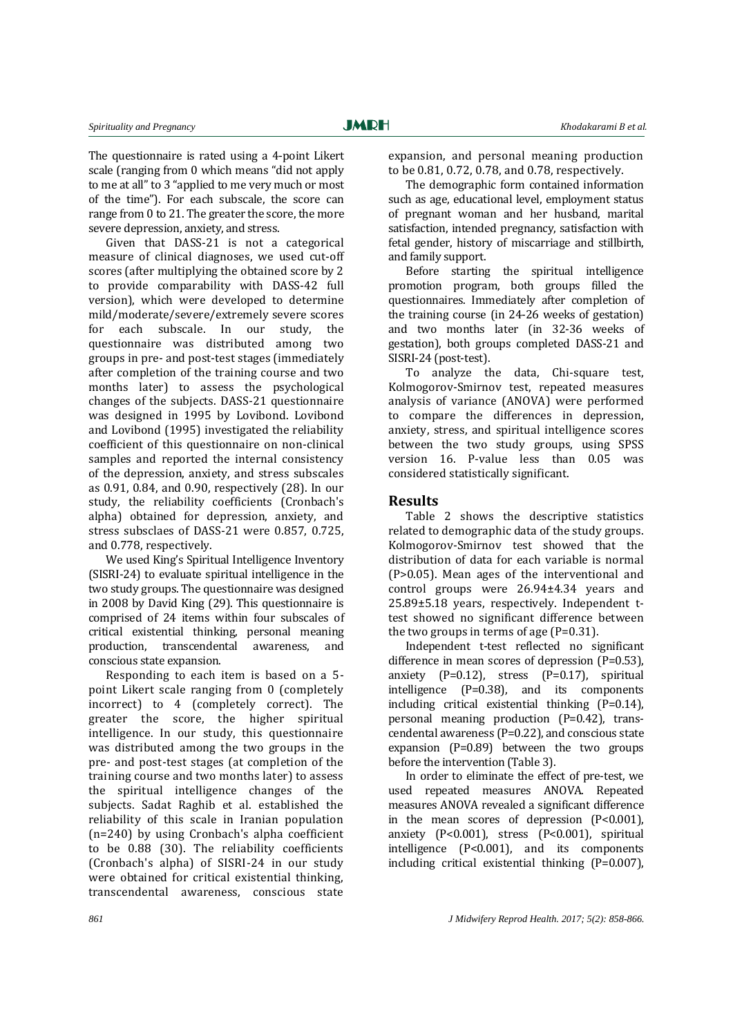The questionnaire is rated using a 4-point Likert scale (ranging from 0 which means "did not apply to me at all" to 3 "applied to me very much or most of the time"). For each subscale, the score can range from 0 to 21. The greater the score, the more severe depression, anxiety, and stress.

Given that DASS-21 is not a categorical measure of clinical diagnoses, we used cut-off scores (after multiplying the obtained score by 2 to provide comparability with DASS-42 full version), which were developed to determine mild/moderate/severe/extremely severe scores for each subscale. In our study, the questionnaire was distributed among two groups in pre- and post-test stages (immediately after completion of the training course and two months later) to assess the psychological changes of the subjects. DASS-21 questionnaire was designed in 1995 by Lovibond. Lovibond and Lovibond (1995) investigated the reliability coefficient of this questionnaire on non-clinical samples and reported the internal consistency of the depression, anxiety, and stress subscales as 0.91, 0.84, and 0.90, respectively (28). In our study, the reliability coefficients (Cronbach's alpha) obtained for depression, anxiety, and stress subsclaes of DASS-21 were 0.857, 0.725, and 0.778, respectively.

We used King's Spiritual Intelligence Inventory (SISRI-24) to evaluate spiritual intelligence in the two study groups. The questionnaire was designed in 2008 by David King (29). This questionnaire is comprised of 24 items within four subscales of critical existential thinking, personal meaning production, transcendental awareness, and conscious state expansion.

Responding to each item is based on a 5 point Likert scale ranging from 0 (completely incorrect) to 4 (completely correct). The greater the score, the higher spiritual intelligence. In our study, this questionnaire was distributed among the two groups in the pre- and post-test stages (at completion of the training course and two months later) to assess the spiritual intelligence changes of the subjects. Sadat Raghib et al. established the reliability of this scale in Iranian population (n=240) by using Cronbach's alpha coefficient to be 0.88 (30). The reliability coefficients (Cronbach's alpha) of SISRI-24 in our study were obtained for critical existential thinking, transcendental awareness, conscious state

expansion, and personal meaning production to be 0.81, 0.72, 0.78, and 0.78, respectively.

The demographic form contained information such as age, educational level, employment status of pregnant woman and her husband, marital satisfaction, intended pregnancy, satisfaction with fetal gender, history of miscarriage and stillbirth, and family support.

Before starting the spiritual intelligence promotion program, both groups filled the questionnaires. Immediately after completion of the training course (in 24-26 weeks of gestation) and two months later (in 32-36 weeks of gestation), both groups completed DASS-21 and SISRI-24 (post-test).

To analyze the data, Chi-square test, Kolmogorov-Smirnov test, repeated measures analysis of variance (ANOVA) were performed to compare the differences in depression, anxiety, stress, and spiritual intelligence scores between the two study groups, using SPSS version 16. P-value less than 0.05 was considered statistically significant.

### **Results**

Table 2 shows the descriptive statistics related to demographic data of the study groups. Kolmogorov-Smirnov test showed that the distribution of data for each variable is normal (P>0.05). Mean ages of the interventional and control groups were 26.94±4.34 years and 25.89±5.18 years, respectively. Independent ttest showed no significant difference between the two groups in terms of age  $(P=0.31)$ .

Independent t-test reflected no significant difference in mean scores of depression (P=0.53), anxiety (P=0.12), stress (P=0.17), spiritual intelligence (P=0.38), and its components including critical existential thinking (P=0.14), personal meaning production (P=0.42), transcendental awareness (P=0.22), and conscious state expansion  $(P=0.89)$  between the two groups before the intervention (Table 3).

In order to eliminate the effect of pre-test, we used repeated measures ANOVA. Repeated measures ANOVA revealed a significant difference in the mean scores of depression  $[P<0.001]$ , anxiety (P<0.001), stress (P<0.001), spiritual intelligence (P<0.001), and its components including critical existential thinking (P=0.007),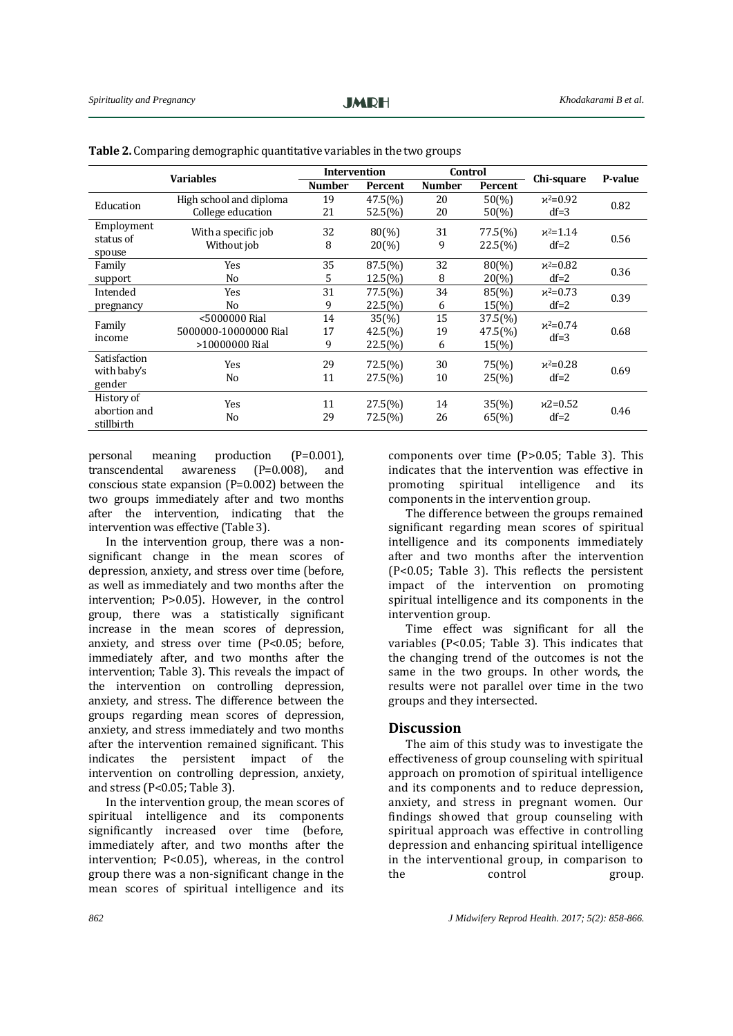| <b>Variables</b> |                         | <b>Intervention</b> |                   | Control       |                    | Chi-square | P-value |  |
|------------------|-------------------------|---------------------|-------------------|---------------|--------------------|------------|---------|--|
|                  |                         | <b>Number</b>       | Percent           | <b>Number</b> | Percent            |            |         |  |
| Education        | High school and diploma | 19                  | 47.5(%)           | 20            | $50\frac{6}{6}$    | $x^2=0.92$ |         |  |
|                  | College education       | 21                  | 52.5(%)           | 20            | $50\frac{6}{6}$    | $df=3$     | 0.82    |  |
| Employment       |                         |                     |                   |               |                    |            |         |  |
| status of        | With a specific job     | 32                  | $80\binom{0}{0}$  | 31            | $77.5\binom{0}{0}$ | $x^2=1.14$ | 0.56    |  |
| spouse           | Without job             | 8                   | $20\frac{9}{0}$   | 9             | $22.5\binom{0}{0}$ | $df=2$     |         |  |
| Family           | Yes                     | 35                  | $87.5(\%)$        | 32            | $80\frac{6}{6}$    | $x^2=0.82$ | 0.36    |  |
| support          | N <sub>0</sub>          | 5                   | $12.5\frac{6}{6}$ | 8             | $20\frac{6}{9}$    | $df=2$     |         |  |
| Intended         | Yes                     | 31                  | 77.5(%)           | 34            | 85(%)              | $x^2=0.73$ | 0.39    |  |
| pregnancy        | N <sub>0</sub>          | 9                   | 22.5(%)           | 6             | $15(\%)$           | $df=2$     |         |  |
|                  | <5000000 Rial           | 14                  | $35\frac{6}{6}$   | 15            | $37.5\binom{0}{0}$ | $x^2=0.74$ |         |  |
| Family<br>income | 5000000-10000000 Rial   | 17                  | 42.5(%)           | 19            | 47.5(%)            |            | 0.68    |  |
|                  | >10000000 Rial          | 9                   | 22.5(%)           | 6             | 15(%)              | $df=3$     |         |  |
| Satisfaction     | Yes                     | 29                  | $72.5(\%)$        | 30            | 75(%)              | $x^2=0.28$ |         |  |
| with baby's      |                         |                     |                   |               |                    |            | 0.69    |  |
| gender           | N <sub>0</sub>          | 11                  | 27.5(%)           | 10            | $25\frac{9}{0}$    | $df=2$     |         |  |
| History of       |                         |                     |                   |               |                    |            |         |  |
| abortion and     | Yes                     | 11                  | $27.5(\%)$        | 14            | $35(\%)$           | $x2=0.52$  | 0.46    |  |
| stillbirth       | N <sub>o</sub>          | 29                  | 72.5(%)           | 26            | 65(%)              | $df=2$     |         |  |

|  |  |  | Table 2. Comparing demographic quantitative variables in the two groups |  |  |
|--|--|--|-------------------------------------------------------------------------|--|--|
|--|--|--|-------------------------------------------------------------------------|--|--|

personal meaning production (P=0.001), transcendental awareness (P=0.008), and conscious state expansion (P=0.002) between the two groups immediately after and two months after the intervention, indicating that the intervention was effective (Table 3).

In the intervention group, there was a nonsignificant change in the mean scores of depression, anxiety, and stress over time (before, as well as immediately and two months after the intervention; P>0.05). However, in the control group, there was a statistically significant increase in the mean scores of depression, anxiety, and stress over time (P<0.05; before, immediately after, and two months after the intervention; Table 3). This reveals the impact of the intervention on controlling depression, anxiety, and stress. The difference between the groups regarding mean scores of depression, anxiety, and stress immediately and two months after the intervention remained significant. This indicates the persistent impact of the intervention on controlling depression, anxiety, and stress (P<0.05; Table 3).

In the intervention group, the mean scores of spiritual intelligence and its components significantly increased over time (before, immediately after, and two months after the intervention; P<0.05), whereas, in the control group there was a non-significant change in the mean scores of spiritual intelligence and its

components over time (P>0.05; Table 3). This indicates that the intervention was effective in promoting spiritual intelligence and its components in the intervention group.

The difference between the groups remained significant regarding mean scores of spiritual intelligence and its components immediately after and two months after the intervention (P<0.05; Table 3). This reflects the persistent impact of the intervention on promoting spiritual intelligence and its components in the intervention group.

Time effect was significant for all the variables (P<0.05; Table 3). This indicates that the changing trend of the outcomes is not the same in the two groups. In other words, the results were not parallel over time in the two groups and they intersected.

#### **Discussion**

The aim of this study was to investigate the effectiveness of group counseling with spiritual approach on promotion of spiritual intelligence and its components and to reduce depression, anxiety, and stress in pregnant women. Our findings showed that group counseling with spiritual approach was effective in controlling depression and enhancing spiritual intelligence in the interventional group, in comparison to the control group.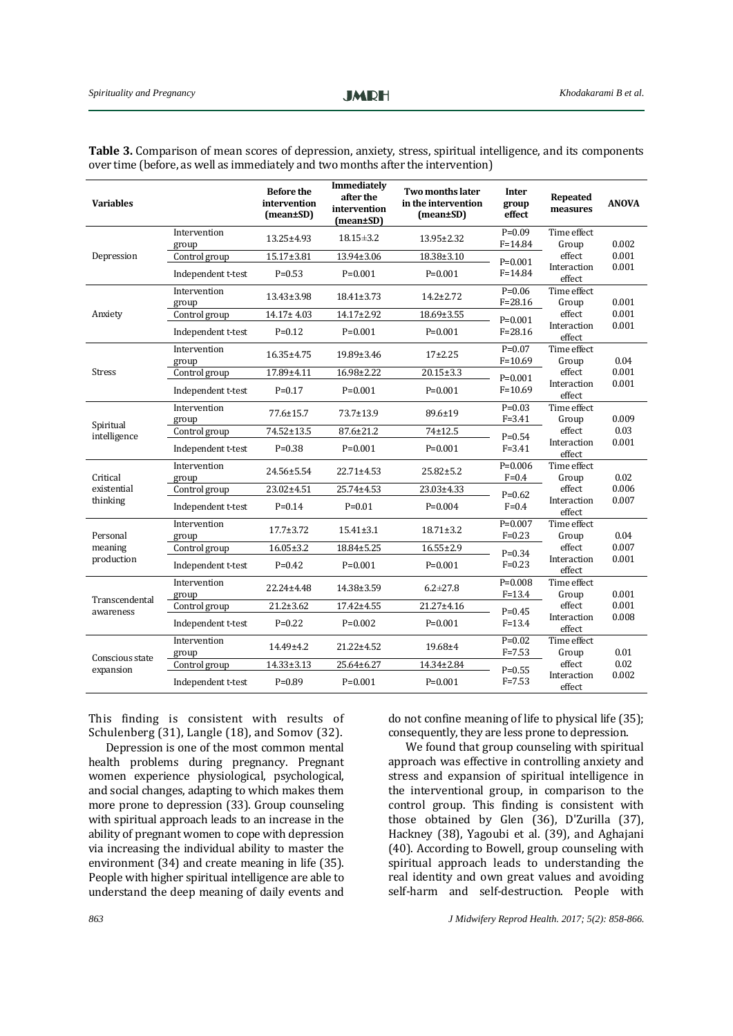| <b>Variables</b>             |                       | <b>Before the</b><br>intervention<br>(mean±SD) | Immediately<br>after the<br>intervention<br>(mean±SD) | Two months later<br>in the intervention<br>(mean±SD) | <b>Inter</b><br>group<br>effect | <b>Repeated</b><br>measures                             | <b>ANOVA</b>   |
|------------------------------|-----------------------|------------------------------------------------|-------------------------------------------------------|------------------------------------------------------|---------------------------------|---------------------------------------------------------|----------------|
|                              | Intervention<br>group | $13.25 \pm 4.93$                               | $18.15 \pm 3.2$                                       | $13.95 \pm 2.32$                                     | $P=0.09$<br>$F = 14.84$         | Time effect<br>Group                                    | 0.002          |
| Depression                   | Control group         | 15.17±3.81                                     | 13.94±3.06                                            | $18.38 \pm 3.10$                                     | $P=0.001$                       | effect                                                  | 0.001          |
|                              | Independent t-test    | $P = 0.53$                                     | $P=0.001$                                             | $P=0.001$                                            | $F = 14.84$                     | Interaction<br>effect                                   | 0.001          |
|                              | Intervention<br>group | $13.43 \pm 3.98$                               | $18.41 \pm 3.73$                                      | $14.2 \pm 2.72$                                      | $P=0.06$<br>$F = 28.16$         | Time effect<br>Group                                    | 0.001          |
| Anxiety                      | Control group         | 14.17±4.03                                     | 14.17±2.92                                            | 18.69±3.55                                           | $P=0.001$                       | effect<br>Interaction<br>effect                         | 0.001          |
|                              | Independent t-test    | $P = 0.12$                                     | $P = 0.001$                                           | $P = 0.001$                                          | $F = 28.16$                     |                                                         | 0.001          |
|                              | Intervention<br>group | 16.35±4.75                                     | 19.89±3.46                                            | $17+2.25$                                            | $P=0.07$<br>$F = 10.69$         | Time effect<br>Group                                    | 0.04           |
| Stress                       | Control group         | 17.89±4.11                                     | 16.98±2.22                                            | $20.15 \pm 3.3$                                      | $P=0.001$                       | effect<br>Interaction<br>effect                         | 0.001<br>0.001 |
|                              | Independent t-test    | $P = 0.17$                                     | $P = 0.001$                                           | $P = 0.001$                                          | $F = 10.69$                     |                                                         |                |
|                              | Intervention<br>group | $77.6 \pm 15.7$                                | $73.7 \pm 13.9$                                       | 89.6±19                                              | $P=0.03$<br>$F = 3.41$          | Time effect<br>Group                                    | 0.009          |
| Spiritual<br>intelligence    | Control group         | 74.52±13.5                                     | 87.6±21.2                                             | 74±12.5                                              | $P = 0.54$<br>$F = 3.41$        | effect<br>Interaction<br>effect                         | 0.03           |
|                              | Independent t-test    | $P = 0.38$                                     | $P=0.001$                                             | $P=0.001$                                            |                                 |                                                         | 0.001          |
| Critical                     | Intervention<br>group | 24.56±5.54                                     | $22.71 \pm 4.53$                                      | $25.82 \pm 5.2$                                      | $P=0.006$<br>$F = 0.4$          | Time effect<br>Group                                    | 0.02<br>0.006  |
| existential                  | Control group         | 23.02±4.51                                     | 25.74±4.53                                            | 23.03±4.33                                           | $P = 0.62$                      | effect<br>Interaction<br>effect                         |                |
| thinking                     | Independent t-test    | $P = 0.14$                                     | $P = 0.01$                                            | $P = 0.004$                                          | $F=0.4$                         |                                                         | 0.007          |
| Personal                     | Intervention<br>group | $17.7 \pm 3.72$                                | $15.41 \pm 3.1$                                       | $18.71 \pm 3.2$                                      | $P=0.007$<br>$F = 0.23$         | Time effect<br>Group<br>effect<br>Interaction<br>effect | 0.04<br>0.007  |
| meaning                      | Control group         | $16.05 \pm 3.2$                                | 18.84±5.25                                            | $16.55 \pm 2.9$                                      | $P = 0.34$                      |                                                         |                |
| production                   | Independent t-test    | $P = 0.42$                                     | $P=0.001$                                             | $P=0.001$                                            | $F = 0.23$                      |                                                         | 0.001          |
| Transcendental<br>awareness  | Intervention<br>group | 22.24±4.48                                     | 14.38±3.59                                            | $6.2 \pm 27.8$                                       | $P=0.008$<br>$F = 13.4$         | Time effect<br>Group<br>effect<br>Interaction<br>effect | 0.001          |
|                              | Control group         | $21.2 \pm 3.62$                                | 17.42±4.55                                            | 21.27±4.16                                           | $P = 0.45$                      |                                                         | 0.001          |
|                              | Independent t-test    | $P=0.22$                                       | $P=0.002$                                             | $P=0.001$                                            | $F = 13.4$                      |                                                         | 0.008          |
|                              | Intervention<br>group | 14.49±4.2                                      | 21.22±4.52                                            | 19.68±4                                              | $P=0.02$<br>$F = 7.53$          | Time effect<br>Group                                    | 0.01           |
| Conscious state<br>expansion | Control group         | 14.33±3.13                                     | 25.64±6.27                                            | 14.34±2.84                                           | $P = 0.55$                      | effect                                                  | 0.02           |
|                              | Independent t-test    | $P = 0.89$                                     | $P = 0.001$                                           | $P = 0.001$                                          | $F = 7.53$                      | Interaction<br>effect                                   | 0.002          |

**Table 3.** Comparison of mean scores of depression, anxiety, stress, spiritual intelligence, and its components over time (before, as well as immediately and two months after the intervention)

This finding is consistent with results of Schulenberg (31), Langle (18), and Somov (32).

Depression is one of the most common mental health problems during pregnancy. Pregnant women experience physiological, psychological, and social changes, adapting to which makes them more prone to depression (33). Group counseling with spiritual approach leads to an increase in the ability of pregnant women to cope with depression via increasing the individual ability to master the environment (34) and create meaning in life (35). People with higher spiritual intelligence are able to understand the deep meaning of daily events and

do not confine meaning of life to physical life (35); consequently, they are less prone to depression.

We found that group counseling with spiritual approach was effective in controlling anxiety and stress and expansion of spiritual intelligence in the interventional group, in comparison to the control group. This finding is consistent with those obtained by Glen (36), D'Zurilla (37), Hackney (38), Yagoubi et al. (39), and Aghajani (40). According to Bowell, group counseling with spiritual approach leads to understanding the real identity and own great values and avoiding self-harm and self-destruction. People with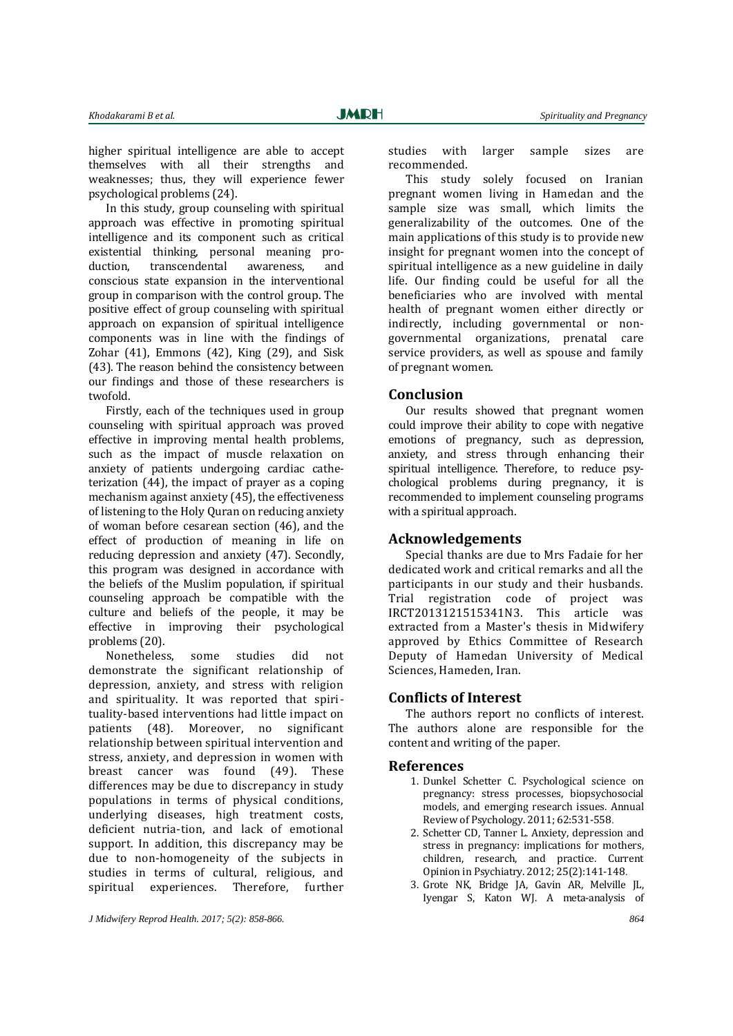higher spiritual intelligence are able to accept themselves with all their strengths and weaknesses; thus, they will experience fewer psychological problems (24).

In this study, group counseling with spiritual approach was effective in promoting spiritual intelligence and its component such as critical existential thinking, personal meaning production, transcendental awareness, and conscious state expansion in the interventional group in comparison with the control group. The positive effect of group counseling with spiritual approach on expansion of spiritual intelligence components was in line with the findings of Zohar (41), Emmons (42), King (29), and Sisk (43). The reason behind the consistency between our findings and those of these researchers is twofold.

Firstly, each of the techniques used in group counseling with spiritual approach was proved effective in improving mental health problems, such as the impact of muscle relaxation on anxiety of patients undergoing cardiac catheterization (44), the impact of prayer as a coping mechanism against anxiety (45), the effectiveness of listening to the Holy Quran on reducing anxiety of woman before cesarean section (46), and the effect of production of meaning in life on reducing depression and anxiety (47). Secondly, this program was designed in accordance with the beliefs of the Muslim population, if spiritual counseling approach be compatible with the culture and beliefs of the people, it may be effective in improving their psychological problems (20).

Nonetheless, some studies did not demonstrate the significant relationship of depression, anxiety, and stress with religion and spirituality. It was reported that spirituality-based interventions had little impact on patients (48). Moreover, no significant relationship between spiritual intervention and stress, anxiety, and depression in women with breast cancer was found (49). These differences may be due to discrepancy in study populations in terms of physical conditions, underlying diseases, high treatment costs, deficient nutria-tion, and lack of emotional support. In addition, this discrepancy may be due to non-homogeneity of the subjects in studies in terms of cultural, religious, and spiritual experiences. Therefore, further

*J Midwifery Reprod Health. 2017; 5(2): 858-866. 864*

studies with larger sample sizes are recommended.

This study solely focused on Iranian pregnant women living in Hamedan and the sample size was small, which limits the generalizability of the outcomes. One of the main applications of this study is to provide new insight for pregnant women into the concept of spiritual intelligence as a new guideline in daily life. Our finding could be useful for all the beneficiaries who are involved with mental health of pregnant women either directly or indirectly, including governmental or nongovernmental organizations, prenatal care service providers, as well as spouse and family of pregnant women.

#### **Conclusion**

Our results showed that pregnant women could improve their ability to cope with negative emotions of pregnancy, such as depression, anxiety, and stress through enhancing their spiritual intelligence. Therefore, to reduce psychological problems during pregnancy, it is recommended to implement counseling programs with a spiritual approach.

#### **Acknowledgements**

Special thanks are due to Mrs Fadaie for her dedicated work and critical remarks and all the participants in our study and their husbands. Trial registration code of project was IRCT2013121515341N3. This article was extracted from a Master's thesis in Midwifery approved by Ethics Committee of Research Deputy of Hamedan University of Medical Sciences, Hameden, Iran.

## **Conflicts of Interest**

The authors report no conflicts of interest. The authors alone are responsible for the content and writing of the paper.

### **References**

- 1. Dunkel Schetter C. Psychological science on pregnancy: stress processes, biopsychosocial models, and emerging research issues. Annual Review of Psychology. 2011; 62:531-558.
- 2. Schetter CD, Tanner L. Anxiety, depression and stress in pregnancy: implications for mothers, children, research, and practice. Current Opinion in Psychiatry. 2012; 25(2):141-148.
- 3. Grote NK, Bridge JA, Gavin AR, Melville JL, Iyengar S, Katon WJ. A meta-analysis of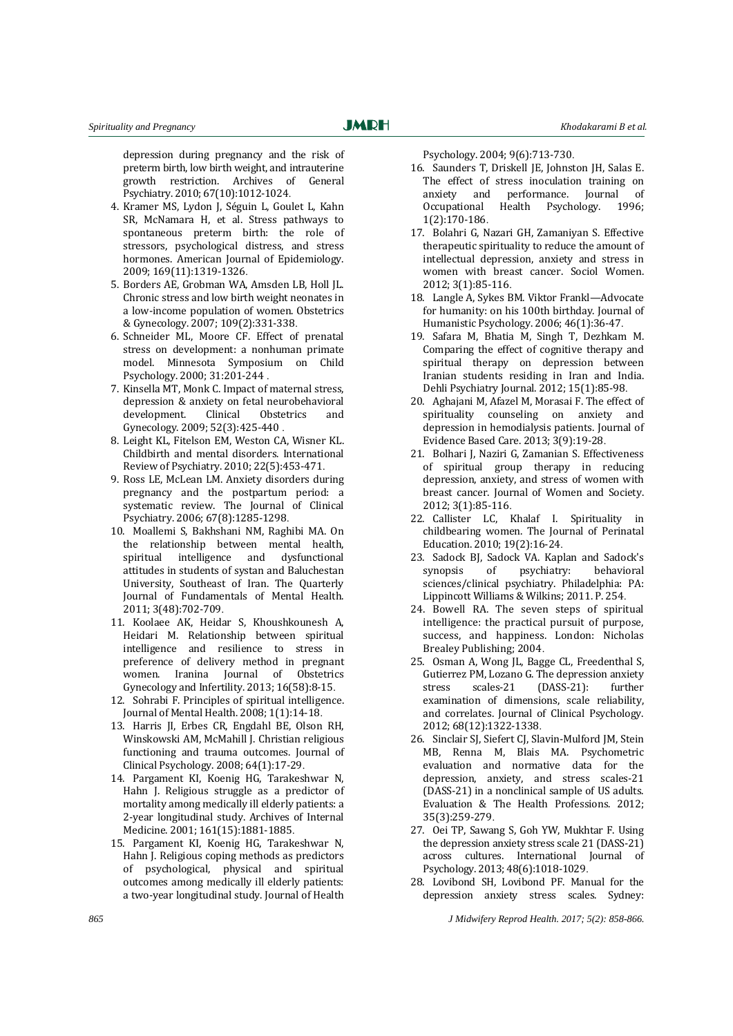depression during pregnancy and the risk of preterm birth, low birth weight, and intrauterine growth restriction. Archives of General Psychiatry. 2010; 67(10):1012-1024.

- 4. Kramer MS, Lydon J, Séguin L, Goulet L, Kahn SR, McNamara H, et al. Stress pathways to spontaneous preterm birth: the role of stressors, psychological distress, and stress hormones. American Journal of Epidemiology. 2009; 169(11):1319-1326.
- 5. Borders AE, Grobman WA, Amsden LB, Holl JL. Chronic stress and low birth weight neonates in a low-income population of women. Obstetrics & Gynecology. 2007; 109(2):331-338.
- 6. Schneider ML, Moore CF. Effect of prenatal stress on development: a nonhuman primate model. Minnesota Symposium on Child Psychology. 2000; 31:201-244 .
- 7. Kinsella MT, Monk C. Impact of maternal stress, depression & anxiety on fetal neurobehavioral development. Clinical Obstetrics and Gynecology. 2009; 52(3):425-440 .
- 8. Leight KL, Fitelson EM, Weston CA, Wisner KL. Childbirth and mental disorders. International Review of Psychiatry. 2010; 22(5):453-471.
- 9. Ross LE, McLean LM. Anxiety disorders during pregnancy and the postpartum period: a systematic review. The Journal of Clinical Psychiatry. 2006; 67(8):1285-1298.
- 10. Moallemi S, Bakhshani NM, Raghibi MA. On the relationship between mental health, spiritual intelligence and dysfunctional attitudes in students of systan and Baluchestan University, Southeast of Iran. The Quarterly Journal of Fundamentals of Mental Health. 2011; 3(48):702-709.
- 11. Koolaee AK, Heidar S, Khoushkounesh A, Heidari M. Relationship between spiritual intelligence and resilience to stress in preference of delivery method in pregnant women. Iranina Journal of Obstetrics Gynecology and Infertility. 2013; 16(58):8-15.
- 12. Sohrabi F. Principles of spiritual intelligence. Journal of Mental Health. 2008; 1(1):14-18.
- 13. Harris JI, Erbes CR, Engdahl BE, Olson RH, Winskowski AM, McMahill J. Christian religious functioning and trauma outcomes. Journal of Clinical Psychology. 2008; 64(1):17-29.
- 14. Pargament KI, Koenig HG, Tarakeshwar N, Hahn J. Religious struggle as a predictor of mortality among medically ill elderly patients: a 2-year longitudinal study. Archives of Internal Medicine. 2001; 161(15):1881-1885.
- 15. Pargament KI, Koenig HG, Tarakeshwar N, Hahn J. Religious coping methods as predictors of psychological, physical and spiritual outcomes among medically ill elderly patients: a two-year longitudinal study. Journal of Health

Psychology. 2004; 9(6):713-730.

- 16. Saunders T, Driskell JE, Johnston JH, Salas E. The effect of stress inoculation training on anxiety and performance. Journal of Occupational Health Psychology. 1996; 1(2):170-186.
- 17. Bolahri G, Nazari GH, Zamaniyan S. Effective therapeutic spirituality to reduce the amount of intellectual depression, anxiety and stress in women with breast cancer. Sociol Women. 2012; 3(1):85-116.
- 18. Langle A, Sykes BM. Viktor Frankl—Advocate for humanity: on his 100th birthday. Journal of Humanistic Psychology. 2006; 46(1):36-47.
- 19. Safara M, Bhatia M, Singh T, Dezhkam M. Comparing the effect of cognitive therapy and spiritual therapy on depression between Iranian students residing in Iran and India. Dehli Psychiatry Journal. 2012; 15(1):85-98.
- 20. Aghajani M, Afazel M, Morasai F. The effect of spirituality counseling on anxiety and depression in hemodialysis patients. Journal of Evidence Based Care. 2013; 3(9):19-28.
- 21. Bolhari J, Naziri G, Zamanian S. Effectiveness of spiritual group therapy in reducing depression, anxiety, and stress of women with breast cancer. Journal of Women and Society. 2012; 3(1):85-116.
- 22. Callister LC, Khalaf I. Spirituality in childbearing women. The Journal of Perinatal Education. 2010; 19(2):16-24.
- 23. Sadock BJ, Sadock VA. Kaplan and Sadock's synopsis of psychiatry: behavioral sciences/clinical psychiatry. Philadelphia: PA: Lippincott Williams & Wilkins; 2011. P. 254.
- 24. Bowell RA. The seven steps of spiritual intelligence: the practical pursuit of purpose, success, and happiness. London: Nicholas Brealey Publishing; 2004.
- 25. Osman A, Wong JL, Bagge CL, Freedenthal S, Gutierrez PM, Lozano G. The depression anxiety stress scales-21 (DASS-21): further examination of dimensions, scale reliability, and correlates. Journal of Clinical Psychology. 2012; 68(12):1322-1338.
- 26. Sinclair SJ, Siefert CJ, Slavin-Mulford JM, Stein MB, Renna M, Blais MA. Psychometric evaluation and normative data for the depression, anxiety, and stress scales-21 (DASS-21) in a nonclinical sample of US adults. Evaluation & The Health Professions. 2012; 35(3):259-279.
- 27. Oei TP, Sawang S, Goh YW, Mukhtar F. Using the depression anxiety stress scale 21 (DASS-21) across cultures. International Journal of Psychology. 2013; 48(6):1018-1029.
- 28. Lovibond SH, Lovibond PF. Manual for the depression anxiety stress scales. Sydney:

*865 J Midwifery Reprod Health. 2017; 5(2): 858-866.*